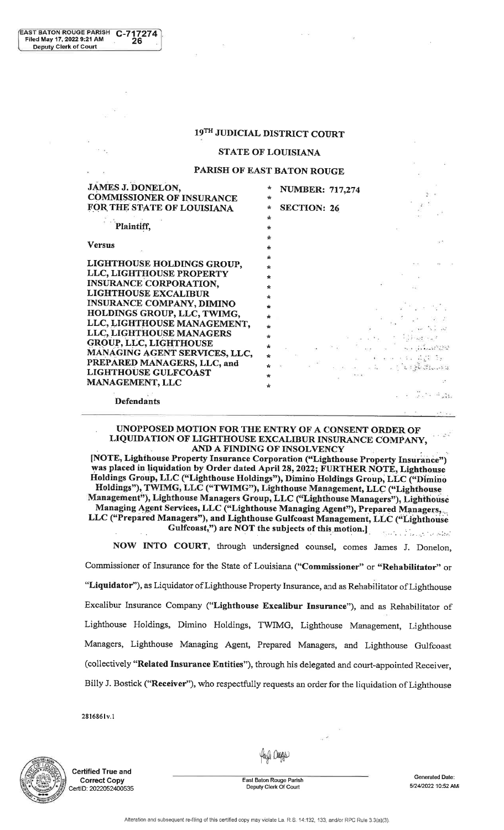# 19TH JUDICIAL DISTRICT COURT

### STATE OF LOUISIANA

# PARISH OF EAST BATON ROUGE

| <b>JAMES J. DONELON,</b>         |         | <b>NUMBER: 717,274</b> |                                                                                                                                                                                                                                                                                                                                                                                                                                                                        |
|----------------------------------|---------|------------------------|------------------------------------------------------------------------------------------------------------------------------------------------------------------------------------------------------------------------------------------------------------------------------------------------------------------------------------------------------------------------------------------------------------------------------------------------------------------------|
| <b>COMMISSIONER OF INSURANCE</b> | *       |                        |                                                                                                                                                                                                                                                                                                                                                                                                                                                                        |
| FOR THE STATE OF LOUISIANA       | ÷       | <b>SECTION: 26</b>     |                                                                                                                                                                                                                                                                                                                                                                                                                                                                        |
|                                  | *       |                        |                                                                                                                                                                                                                                                                                                                                                                                                                                                                        |
| Plaintiff,                       | $\star$ |                        |                                                                                                                                                                                                                                                                                                                                                                                                                                                                        |
| <b>Versus</b>                    | ÷       |                        |                                                                                                                                                                                                                                                                                                                                                                                                                                                                        |
|                                  | ÷       |                        |                                                                                                                                                                                                                                                                                                                                                                                                                                                                        |
| LIGHTHOUSE HOLDINGS GROUP,       | $\star$ |                        |                                                                                                                                                                                                                                                                                                                                                                                                                                                                        |
| LLC, LIGHTHOUSE PROPERTY         | ÷       |                        |                                                                                                                                                                                                                                                                                                                                                                                                                                                                        |
| <b>INSURANCE CORPORATION,</b>    | ÷       |                        |                                                                                                                                                                                                                                                                                                                                                                                                                                                                        |
| <b>LIGHTHOUSE EXCALIBUR</b>      | $\star$ |                        |                                                                                                                                                                                                                                                                                                                                                                                                                                                                        |
| <b>INSURANCE COMPANY, DIMINO</b> |         |                        |                                                                                                                                                                                                                                                                                                                                                                                                                                                                        |
| HOLDINGS GROUP, LLC, TWIMG,      | ÷       |                        |                                                                                                                                                                                                                                                                                                                                                                                                                                                                        |
| LLC, LIGHTHOUSE MANAGEMENT,      | $\star$ |                        |                                                                                                                                                                                                                                                                                                                                                                                                                                                                        |
| LLC, LIGHTHOUSE MANAGERS         | $\star$ |                        |                                                                                                                                                                                                                                                                                                                                                                                                                                                                        |
| <b>GROUP, LLC, LIGHTHOUSE</b>    | $\star$ |                        | the commission of the commission                                                                                                                                                                                                                                                                                                                                                                                                                                       |
| MANAGING AGENT SERVICES, LLC,    | ÷       |                        | sa shekara wa                                                                                                                                                                                                                                                                                                                                                                                                                                                          |
| PREPARED MANAGERS, LLC, and      |         |                        | $\label{eq:2} \begin{array}{ll} \mathcal{L} & \mathcal{L} & \mathcal{L} & \mathcal{L} \\ \mathcal{L} & \mathcal{L} & \mathcal{L} & \mathcal{L} \\ \mathcal{L} & \mathcal{L} & \mathcal{L} & \mathcal{L} \\ \mathcal{L} & \mathcal{L} & \mathcal{L} & \mathcal{L} \\ \mathcal{L} & \mathcal{L} & \mathcal{L} & \mathcal{L} \\ \mathcal{L} & \mathcal{L} & \mathcal{L} & \mathcal{L} \\ \mathcal{L} & \mathcal{L} & \mathcal{L} & \mathcal{L} \\ \mathcal{L} & \mathcal$ |
| <b>LIGHTHOUSE GULFCOAST</b>      | $\star$ |                        |                                                                                                                                                                                                                                                                                                                                                                                                                                                                        |
| <b>MANAGEMENT, LLC</b>           | $\star$ |                        |                                                                                                                                                                                                                                                                                                                                                                                                                                                                        |
| <b>Defendants</b>                |         |                        |                                                                                                                                                                                                                                                                                                                                                                                                                                                                        |

. UNOPPOSED MOTION FOR THE ENTRY OF A CONSENT ORDER OFLIQUIDATION OF LIGHTHOUSE EXCALIBUR INSURANCE COMPANY,  $\blacksquare$ 

AND A FINDING OF INSOLVENCY<br>[NOTE, Lighthouse Property Insurance Corporation ("Lighthouse Property Insurance") was placed in liquidation by Order dated April 28, 2022; FURTHER NOTE, Lighthouse Holdings Group, LLC ("Lighthouse Holdings"), Dimino Holdings Group, LLC ("Dimino Holdings"), TWIMG, LLC ("TWIMG"), Lighthouse Management, LLC ("Lighthouse Management"), Lighthouse Managers Group, LLC ("Lighthouse Managers"), Lighthouse Managing Agent Services, LLC ("Lighthouse Managing Agent"), Prepared Managers,.. LLC ("Prepared Managers"), and Lighthouse Gulfcoast Management, LLC ("Lighthouse .... . :,- . .... . ., ..;\*.,. Gulfcoast,") are NOT the subjects of this motion.]

 NOW INTO COURT, through undersigned counsel, comes James J. Donelon, Commissioner of Insurance for the State of Louisiana ("Commissioner" or "Rehabilitator" or"Liquidator"), as Liquidator of Lighthouse Property Insurance, and as Rehabilitator of LighthouseExcalibur Insurance Company ("Lighthouse Excalibur Insurance"), and as Rehabilitator ofLighthouse Holdings, Dimino Holdings, TWIMG, Lighthouse Management, LighthouseManagers, Lighthouse Managing Agent, Prepared Managers, and Lighthouse Gulfcoast(collectively "Related Insurance Entities"), through his delegated and court-appointed Receiver,Billy J. Bostick ("Receiver"), who respectfully requests an order for the liquidation of Lighthouse

281686 I v.1

Filed May 17, 2022 9:21 AM

Deputy Clerk of Court

EAST BATON ROUGE PARISH C-717274



**Certified True and** Gorrect GopyCertID: 2022052400535

Haya Dogga

 Easl Baton Rouge ParishDeputy Clerk Of Court

Generated Date:512412022'10:52 AM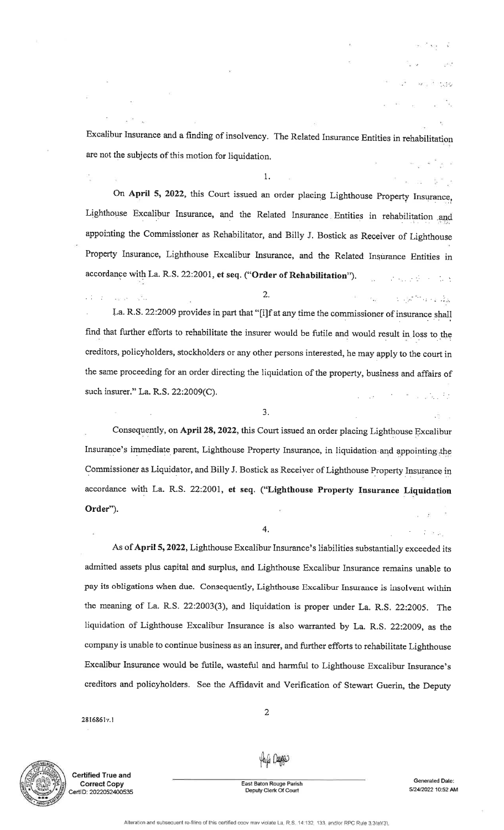Excalibtr Insurance and a finding of insolvency. The Related Insurance Entities in rehabilitationare not the subjects of this motion for liquidation.

 $1$ .

On April 5, 2022, this Court issued an order placing Lighthouse Property Insurance, Lighthouse Excalibur Insurance, and the Related Insurance Entities in rehabilitation and appointing the Commissioner as Rehabilitator, and Billy J. Bostick as Receiver of LighthouseProperty Insurance, Lighthouse Excalibur lnsurance, and the Related Insurance Entities inaccordance with La. R.S. 22:2001, et seq. ("Order of Rehabilitation").

 $\mathbb{R}^n$  -,  $\mathbb{R}^n$  ,  $\mathbb{R}^n$ La. R.S. 22:2009 provides in part that "[i]f at any time the commissioner of insurance shall find that further efforts to rehabilitate the insurer would be futile and would result in loss to the creditors, policyholders, stockholders or any other persons interested, he may apply to the court inthe same proceeding for an order directing the liquidation of the property, business and affairs ofsuch insurer." La. R.S.  $22:2009(C)$ .

 $\overline{2}$ .

..

3.

Consequently, on April 28, 2022, this Court issued an order placing Lighthouse Excalibur Insurance's immediate parent, Lighthouse Property Insurance, in liquidation and appointing the Commissioner as Liquidator, and Billy J. Bostick as Receiver of Lighthouse Property Insurance in accordance with La. R.S. 22:2001, et seq. ("Lighthouse Property Insurance LiquidationOrder").

4.

As of April 5, 2022, Lighthouse Excalibur Insurance's liabilities substantially exceeded its admitted assets plus capital and surplus, and Lighthouse Excalibur Insurance remains unable topay its obligations when due. Consequently, Lighthouse Excalibur Insurance is insolvent withinthe meaning of La. R.S. 22:2003(3), and liquidation is proper under La. R.S. 22:2005. Theliquidation of Lighthouse Excalibur Insurance is also warranted by La. R.S. 22:2009, as thecompany is unable to continue business as an insurer, and further efforts to rehabilitate LighthouseExcalibur Insurance would be futile, wasteful and harmful to Lighthouse Excalibur Insurance'screditors and policyholders. See the Affidavit and Verification of Stewart Guerin, the Deputy

2816861v.1

.2

kan ar



Gertified True andCorrect GopyCertID: 2022052400535  $\overline{2}$ 

Hayla Daggas

East Baton Rouge Parish Deputy Clerk Of Court

Generated Date: 51241202210:52 AM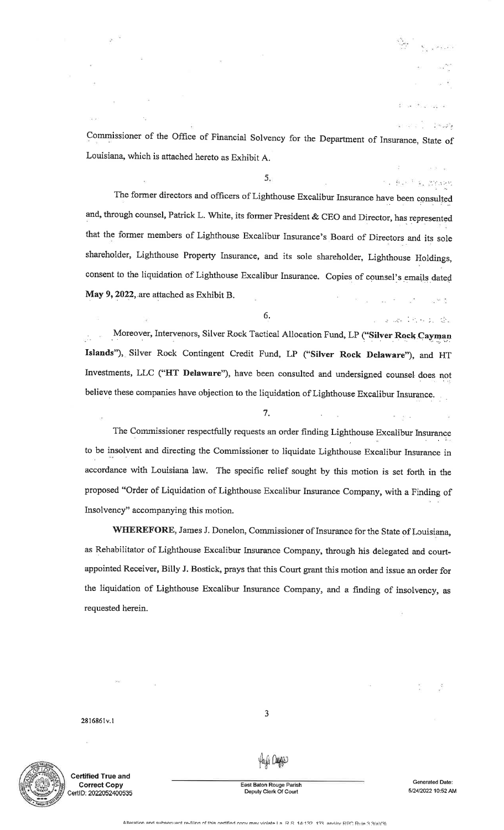Commissioner of the Office of Financial Solvency for the Department of Insurance, State of Louisiana, which is attached hereto as Exhibit A.

5

 $\mathbb{R}_{\mathcal{A}}=\big\{\mathbb{E}_{\mathcal{A}}\big\}_{\mathcal{A}}\mathbb{E}_{\mathcal{A}}\big\}=\big\{\mathbb{E}_{\mathcal{A}}\big\}_{\mathcal{A}}\mathbb{E}_{\mathcal{A}}\mathbb{E}_{\mathcal{A}}\big\}_{\mathcal{A}}\mathbb{E}_{\mathcal{A}}$ The former directors and officers of Lighthouse Excalibur Insurance have been consultedand, through counsel, Patrick L. White, its former President & CEO and Director, has represented that the former members of Lighthouse Excalibur Insurance's Board of Directors and its sole shareholder, Lighthouse Property Insurance, and its sole shareholder, Lighthouse Holdings, consent to the liquidation of Lighthouse Excalibur Insurance. Copies of counsel's emails dated May 9, 2022, are attached as Exhibit B.  $\label{eq:1} \mathbf{y} = -\frac{1}{16\pi} \mathbf{y} - \frac{2\pi}{\pi} \mathbf{y}.$ - 164 - 25

Moreover, Intervenors, Silver Rock Tactical Allocation Fund, LP ("Silver Rock Cayman Islands"), Silver Rock Contingent Credit Fund, LP ("Silver Rock Delaware"), and HT Investments, LLC ("HT Delaware"), have been consulted and undersigned counsel does not believe these companies have objection to the liquidation of Lighthouse Excalibur Insurance.

7.

6' .: ..!. . .'. ;. ;i:.

The Commissioner respectfully requests an order finding Lighthouse Excalibur Insurance to be insolvent and directing the Commissioner to liquidate Lighthouse Excalibur Insurance inaccordance with Louisiana law. The specific relief sought by this motion is set forth in theproposed "Order of Liquidation of Lighthouse Excalibur Insurance Company, with a Finding ofInsolvency" accompanying this motion.

WHEREFORE, James J. Donelon, Commissioner of Insurance for the State of Louisiana, as Rehabilitator of Lighthouse Excalibur Insurance Company, through his delegated and courtappointed Receiver, Billy J. Bostick, prays that this Court grant this motion and issue an order forthe liquidation of Lighthouse Excalibur Insurance Company, and a finding of insolvency, as requested herein.

2816861v.1



Gertified True andCorrect GopyCertlD: 20220524O0535

3

East Baton Rouge Parish Deputy Clerk Of Court

Yayyi Dagga

Generaled Dale:5/24/2022 10:52 AM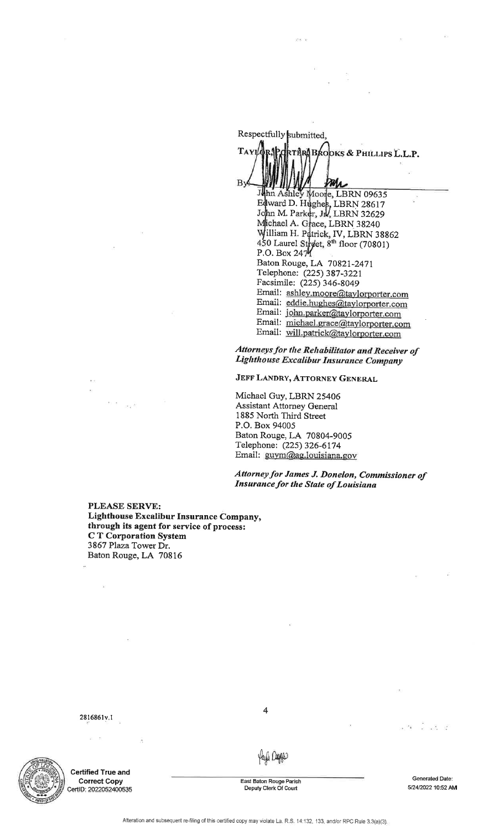Respectfully R.PORTHRABAOOKS & PHILLIPS L.L.P. Tayıld By Par J LBRN 09635 LBRN 28617 D.HM. Pa LBRN 32629<br>PPN 33343 A. Grace, LBRN 38240 illiam H. Patrick, IV, LBRN<br>0 Laurel Street, 8<sup>th</sup> floor (708 William H. Patrick, IV, LBRN 38862<br>450 Laurel Street, 8<sup>th</sup> floor (70801)<br>P.O. Box 2474 Baton Rouge, LA 70821-247 Telephone: Q2S) 387 -3221 Facsirnile: (225) 346-8049Email: <u>ashley.moore@tay</u>lorporter.com Email: eddie.hughes@taylorporter.com Email: john.parker@taylorporter.com Email: <u>michael.grace@taylorporter.com</u> Email: will.patrick@taylorporter.com

Attorneys for the Rehabilitator and Receiver of Lighthouse Excalibur Insurance Company

JEFF LANDRY, ATTORNEY GENERAL

Michael Guy, LBRN 25406 Assistant Attorney General 1885 North Third StreetP.O. Box 94005 Baton Rouge, LA 70804-9005Telephone: (225) 326-6174Email: <u>guym@ag.louisiana.go</u>

Attorneyfor James J. Donelon, Commissioner of**Insurance for the State of Louisiana** 

PLEASE SERVE: Lighthouse Excalibur Insurance Company, through its agent for service of process: C T Corporation System3867 Plaza Tower Dr. Baton Rouge, LA 70816

ڏين

2816861v.1

 $\geq -5$ 

 $\hat{\mathbf{r}}$ 



Gertified True and**Correct Copy**<br>CertID: 2022052400535 4

Yayyi Dagga

East Baton Rouge Parish Deputy Clerk Of Court

Generaled Date:5/24/2022 10:52 AM

 $-33$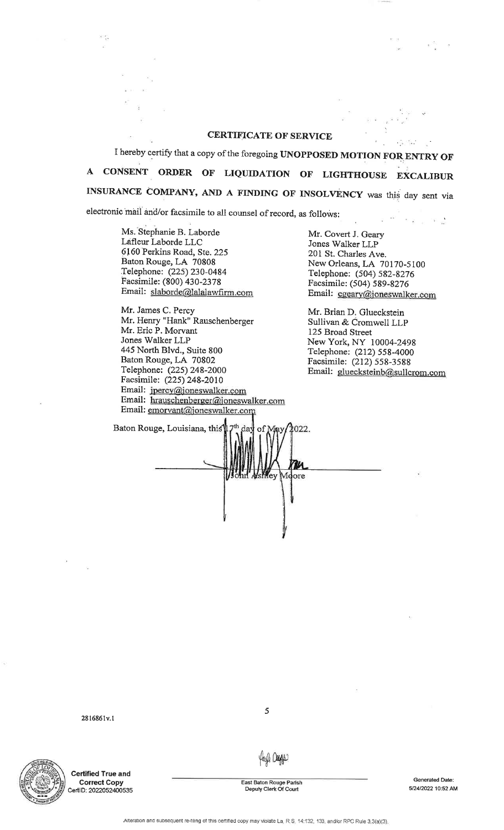## CERTIFICATE OF SERVICE

I hereby certify that a copy of the foregoing UNOPPOSED MOTION FOR ENTRY OF <sup>A</sup>CONSENT ORDER OF LIQUIDATION OF LIGHTHOUSE EXCALIBURINSURANCE COMPANY, AND A FINDING OF INSOLVENCY was this day sent via

electronic mail and/or facsimile to all counsel of record, as follows:

Ms. Stephanie B. LabordeLdfleur Laborde LLC 6160 Perkins Road, Ste.225Baton Rouge, LA 70808Telephone: (225) 230-0484 Facsimile: (800) 430-2378Email : slaborde@lalalawfirm.com

89,

Mr. James C. PercyMr. Henry "Hank" Rauschenberge:<br>Mr. Eric P. Morvant Jones Walker LLP 445 North Blvd., Suite 800Baton Rouge, LA 70802 Telephone: (225) 248-2000 Facsimile: (225) 248-2010Email: jpercy@joneswalker.com Email: hrauschenberger@ioneswalker.com Email:

Mr. Covert J. GearyJones Walker LLP 201 St. Charles Ave. New Orleans, LA 70170-5 100Telephone: (504) 582-8276 Facsimile: (504) 589 -827 6Email: cgeary@joneswalker.com

 $\mathcal{L}_{\text{in}}^{\text{max}}(\mathcal{R}_{\text{in}}^{\text{max}})$ 

 $\sim$  160  $\mu\mathrm{m}$ 

Mr. Brian D. Glueckstein Sullivan & Cromwell LLP125 Broad Street New York, NY i0004-2498 Telephone: (212) 558-4000 Facsimile: (212) 558-3588Email: gluecksteinb@sullcrom.com

Baton Rouge, Louisiana, this 17<sup>th</sup> day of 022 Moore

28 1686 lv. I



Gertified True andCorrect CopyCertID: 202205240053<del>!</del>

the Deeps

5

East Baton Rouge ParishDeputy Clerk Of Court

Generated Date:5/24/2022 10:52 AM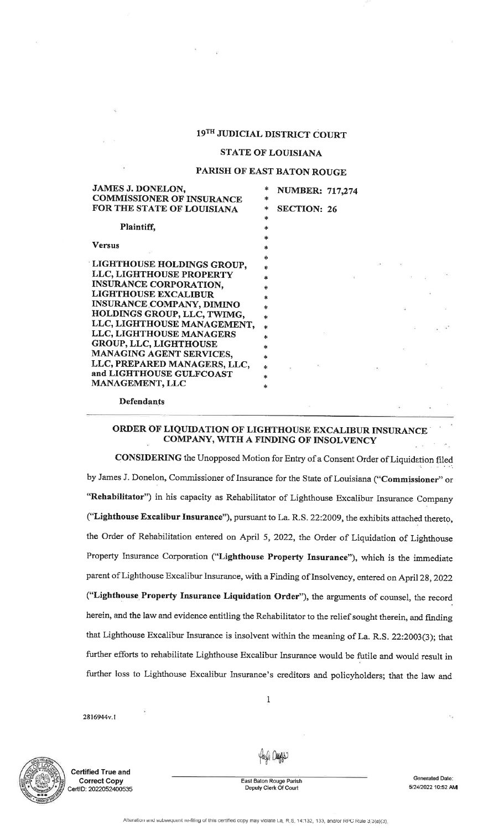# 19TH JUDIcIAL DISTRIcT CoURT

## STATE OF LOUISIANA

#### PARISH OF EAST BATON ROUGE

| <b>JAMES J. DONELON,</b>         |               | <b>NUMBER: 717,274</b> |                 |     |
|----------------------------------|---------------|------------------------|-----------------|-----|
| <b>COMMISSIONER OF INSURANCE</b> | $\ast$        |                        |                 |     |
| FOR THE STATE OF LOUISIANA       | ∗             | <b>SECTION: 26</b>     |                 |     |
|                                  | *             |                        |                 |     |
| Plaintiff,                       | *             |                        |                 |     |
|                                  | $\ast$        |                        |                 |     |
| <b>Versus</b>                    | *             |                        |                 |     |
|                                  | $\frac{1}{2}$ |                        |                 |     |
| LIGHTHOUSE HOLDINGS GROUP,       | ÷             |                        |                 |     |
| LLC, LIGHTHOUSE PROPERTY         | ×             |                        |                 |     |
| <b>INSURANCE CORPORATION,</b>    | *             |                        |                 |     |
| <b>LIGHTHOUSE EXCALIBUR</b>      | 永             |                        |                 |     |
| <b>INSURANCE COMPANY, DIMINO</b> | *             |                        |                 |     |
| HOLDINGS GROUP, LLC, TWIMG,      | *             |                        |                 |     |
| LLC, LIGHTHOUSE MANAGEMENT,      | *             |                        |                 |     |
| <b>LLC, LIGHTHOUSE MANAGERS</b>  | *             |                        | $\mathcal{D}_i$ |     |
| <b>GROUP, LLC, LIGHTHOUSE</b>    | *             |                        |                 |     |
| MANAGING AGENT SERVICES,         | $\frac{1}{2}$ |                        |                 |     |
| LLC, PREPARED MANAGERS, LLC,     | $\ast$        |                        |                 | 535 |
| and LIGHTHOUSE GULFCOAST         | $\ast$        |                        |                 |     |
| <b>MANAGEMENT, LLC</b>           | sk.           |                        |                 |     |
| <b>Defendants</b>                |               |                        |                 |     |

# ORDER OF LIQUIDATION OF LIGHTHOUSE EXCALIBUR INSURANCECOMPANY, WITH A FINDING OF INSOLVENCY

CONSIDERING the Unopposed Motion for Entry of a Consent Order of Liquidation filed by James J. Donelon, Commissioner of Insurance for the State of Louisiana ("Commissioner" or "Rehabilitator") in his capacity as Rehabilitator of Lighthouse Excalibur Insurance Company ("Lighthouse Excalibur Insurance"), pursuant to La. R.S. 22:2009, the exhibits attached thereto, the Order of Rehabilitation entered on April 5,2022, the Order of Liquidation of LighthouseProperty Insurance Corporation ("Lighthouse Property Insurance"), which is the immediateparent of Lighthouse Excalibur Insurance, with a Finding of Insolvency, entered on April 28, 2022 ("Lighthouse Property Insurance Liquidation Order"), the arguments of counsel, the recordherein, and the law and evidence entitling the Rehabilitator to the relief sought therein, and findingthat Lighthouse Excalibur Insurance is insolvent within the meaning of La. R.S. 22:2003(3); thatfurther efforts to rehabilitate Lighthouse Excalibur Insurance would be futile and would result infurther loss to Lighthouse Excalibur Insurance's creditors and policyholders; that the law and

2816944v.1



Certified True andCorrect GopyCertID: 2022052400535

fanti Dadge

1

 Easl Baton Rouge ParishDeputy Glerk Of Court

Generaled Date:51241202210:52 AM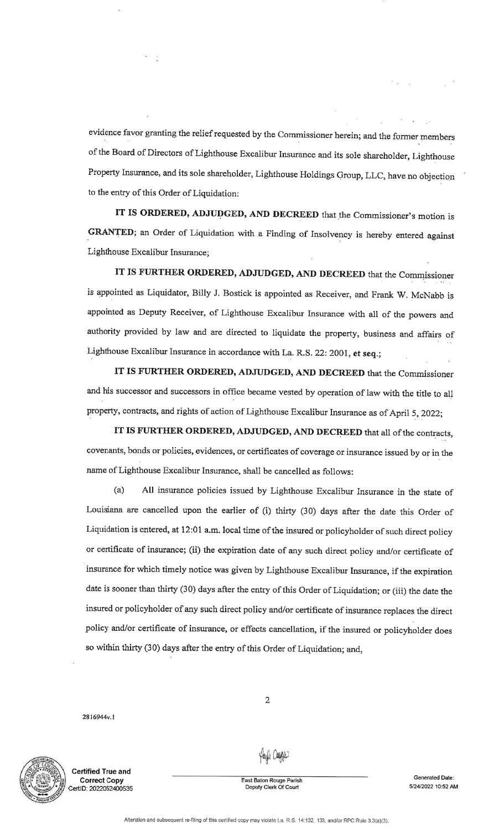evidence favor granting the relief requested by the Commissioner herein; and the former members of the Board of Directors of Lighthouse Excalibur Insurance and its sole shareholder, Lighthouse Property Insurance, and its sole shareholder, Lighthouse Holdings Group, LLC, have no objectionto the entry of this Order of Liquidation:

IT IS ORDERED, ADJUDGED, AND DECREED that the Commissioner's motion isGRANTED; an Order of Liquidation with a Finding of Insolvency is hereby entered against Lighthouse Excalibur Insurance;

IT IS FURTHER ORDERED, ADJUDGED, AND DECREED that the Commjssioneris appointed as Liquidator, Billy J. Bostick is appointed as Receiver, and Frank W. McNabb isappointed as Deputy Receiver, of Lighthouse Excalibur Insurance with all of the powers andauthority provided by law and are directed to liquidate the property, business and affairs ofLighthouse Excalibur Insurance in accordance with La. R.S. 22: 2001, et seq.;

IT IS FURTHER ORDERED, ADJUDGED, AND DECREED that the Commissioner and his successor and successors in office became vested by operation of law with the title to allproperty, contracts, and rights of action of Lighthouse Excalibur Insurance as of April 5,2022;

IT IS FURTHER ORDERED, ADJUDGED, AND DECREED that all of the contracts, covenants, bonds or policies, evidences, or certificates of coverage or insurance issued by or in the name of Lighthouse Excalibur Insurance, shall be cancelled as follows:

(a) All insurance policies issued by Lighthouse Excalibur Insurance in the state ofLouisiana are cancelled upon the earlier of (i) thirty (30) days after the date this Order ofLiquidation is entered, at l2:0I a.m. local time of the insured or policyholder of such direct policyor certificate of insurance; (ii) the expiration date of any such direct policy and/or certificate of insurance for which timely notice was given by Lighthouse Excalibur Insurance, if the expirationdate is soonet than thirty (30) days after the entry of this Order of Liquidation; or (iii) the date theinsured or policyholder of any such direct policy and/or certificate of insurance replaces the directpolicy and/or certificate of insurance, or effects cancellation, if the insured or policyholder does so within thirty (30) days after the entry of this order of Liquidation; and.,

2816944v.1



ertified True and Gorrect CopyCertlD: 20220524O0535 yaya Dege

2

 East Baton Rouge ParishDeputy Clerk Of Court

Generated Date: 5/24/2022 10:52 AM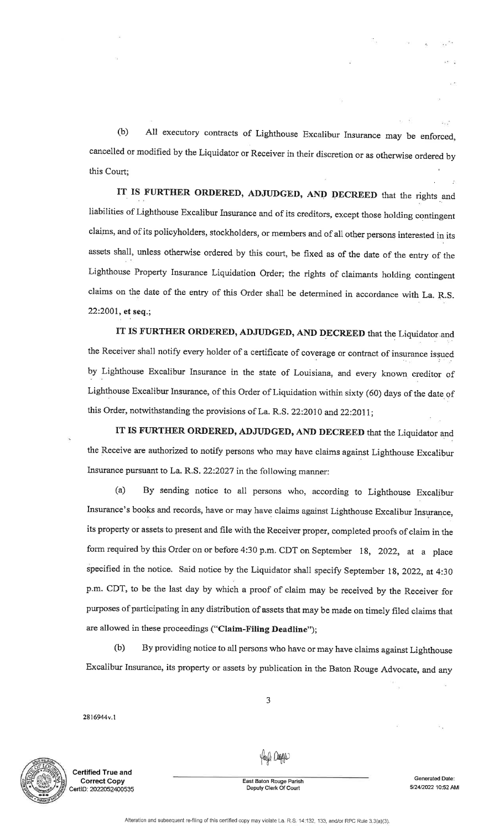(b) All executory contracts of Lighthouse Excalibur Insurance may be enforced, cancelled or modified by the Liquidator or Receiver in their discretion or as otherwise ordered bythis Court;

IT IS FURTHER ORDERED, ADJUDGED, AND DECREED that the rights and liabilities of Lighthouse Excalibur Insurance and of its creditors, except those holding contingent claims, and of its policyholders, stockholders, or members and of all other persons interested in itsassets shall, unless otherwise ordered by this court, be fixed as of the date of the entry of theLighthouse Property Insurance Liquidation Order; the rights of claimants holding contingentclaims on the date of the entry of this Order shall be determined in accordance with La. R.S. $22:2001$ , et seq.;

IT IS FURTHER ORDERED, ADJUDGED, AND DECREED that the Liquidator.andthe Receiver shall notify every holder of a certificate of coverage or contract of insurance issued by Lighthouse Excalibur Insurance in the state of Louisiana, and every known creditor of Lighthouse Excalibur Insurance, of this Order of Liquidation within sixty (60) days of the date ofthis Order, notwithstanding the provisions of La. R.S. 22:2010 and 22:2011;

IT IS FURTHER ORDERED, ADJUDGED, AND DECREED that the Liquidator and the Receive are authorized to notify persons who may have claims against Lighthouse Excaliburlnsurance pursuant to La. R.5.22:2027 in the following manner:

(a) By sending notice to all persons who, according to Lighthouse Excalibur-Insurance's books and records, have or may have claims against Lighthouse Excalibur Insurancq, its property or assets to present and file with the Receiver proper, completed proofs of claim in theform required by this Order on or before 4:30 p.m. CDT on September 18, 2022, at a placespecified in the notice. Said notice by the Liquidator shall specify September 18, 2022, at 4:30 p.m. CDT, to be the last day by which a proof of claim may be received by the Receiver forpurposes of participating in any distribution of assets that may be made on timely filed claims thatare allowed in these proceedings ("Claim-Filing Deadline");

(b) By providing notice to all persons who have or may have claims against LighthouseExcalibur fnsurance, its property or assets by publication in the Baton Rouge Advocate, and any

J

2816944v.1



Gertified True andGorrect GopyCertlD: 20220524O0535 a, Caga

East Baton Rouge Parish Depuly Clerk Of Court

Generated Date: 51241202210:52 AM

: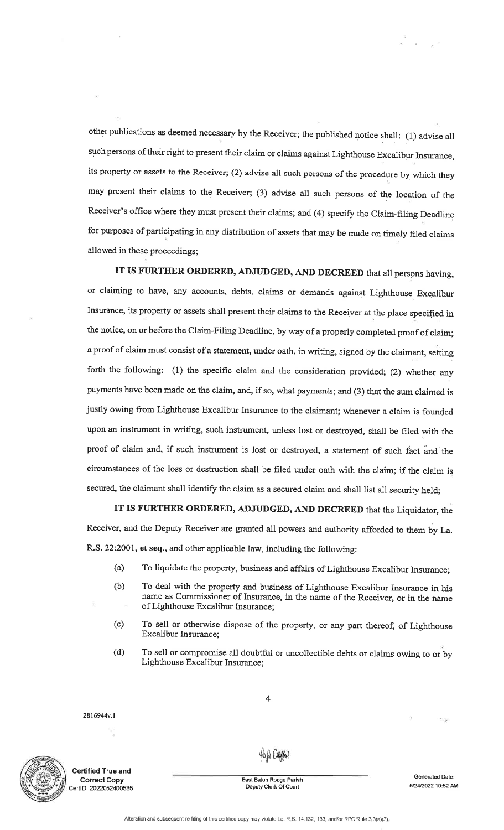other publications as deemed necessary by the Receiver; the published notice shall: (l) advise allsuch persons of their right to present their claim or claims against Lighthouse Excalibur Insurance, its property or assets to the Receiver; (2) advise all such persons of the procedure by which theymay present their claims to the Receiver; (3) advise all such persons of the location of theReceiver's office where they must present their claims; and (4) specify the Claim-filing Deadline for purposes of participating in any distribution of assets that may be made on timely filed claims allowed in these proceedings;

IT IS FURTHER ORDERED, ADJUDGED, AND DECREED that all persons having, or claiming to have, any accounts, debts, claims or demands against Lighthouse ExcaliburInsurance, its property or assets shall present their claims to the Receiver at the place specified inthe notice, on or before the Claim-Filing Deadline, by way of a properly completed proof of claim;a proof of claim must consist of a statement, under oath, in writing, signed by the claimant, setting forth the following: (1) the specific claim and the consideration provided; (2) whether anypayments have been made on the claim, and, if so, what payments; and (3) that the sum claimed isjustly owing from Lighthouse Excalibur Insurance to the claimant; whenever a claim is foundedupon an instrument in writing, such instrument, unless lost or destroyed, shall be filed with theproof of claim and, if such instrument is lost or destroyed, a statement of such fact and the circumstances of the loss or destruction shall be filed under oath with the claim; if the claim issecured, the claimant shall identify the claim as a secured claim and shall list all security held;

IT IS FURTHER ORDERED, ADJUDGED, AND DECREED that the Liquidator, the Receiver, and the Deputy Receiver are granted all powers and authority afforded to them by La.R.S. 22:2001, et seq., and other applicable law, including the following:

- (a) To liquidate the property, business and affairs of Lighthouse Excalibur Insurance;
- (b) To deal with the property and business of Lighthouse Excalibur Insurance in his name as Commissioner of Insurance, in the name of the Receiver, or in the nameof Lighthouse Excalibur Insurance;
- (c) To sell or otherwise dispose of the properry, or any part thereof, of LighthouseExcalibur Insurance;
- (d) To sell or compromise all doubtful or uneollectible debts or claims owing to or byLighthouse Excalibur Insurance;

2816944v.1



Certified True andCorrect GopyCertlD: 2022052400535

fayli Dayy

4

East Baton Rouge ParishDepuly Clerk Of Court

Generated Date: 5/24/2022 10:52 AM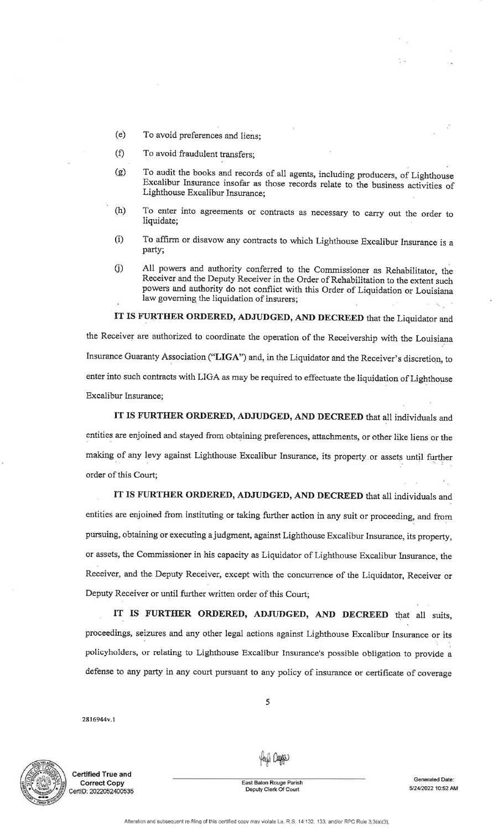- (e)To avoid preferences and liens;
- $(f)$ To avoid fraudulent transfers;
- (e)To audit the books and records of all agents, including producers, of Lighthouse Excalibur Insurance insofar as those records relate to the business activities of Lighthouse Excalibur Insurance;
- To enter into agreements or contracts as necessary to carry out the order toliquidate; est alian est alian est alian est alian est alian est alian est alian est alian est alian est alian (h)
- (i) To affirm or disavow any contracts to which Lighthouse Excalibur Insurance is <sup>a</sup>party;
- 0) All powers and authority conferred to the Commissioner as Rehabilitator, the Receiver and the Deputy Receiver in the Order of Rehabilitation to the extent such powers and authority do not conflict with this Order of Liquidation or Louisianalaw governing the liquidation of insurers;

IT IS FURTHER ORDERED, ADJUDGED, AND DECREED that the Liquidator andthe Receiver are authorized to coordinate the operation of the Receivership with the LouisianaInsurance Guaranty Association ("LIGA") and, in the Liquidator and the Receiver's discretion, to enter into such contracts with LIGA as may be required to effectuate the liquidation of LighthouseExcalibur Insurance;

IT IS FURTHER ORDERED, ADJUDGED, AND DECREED that all individuals and entities are enjoined and stayed from obtaining preferences, afiachments, or other like liens or themaking of any levy against Lighthouse Excalibur Insurance, its property or assets until furtherorder of this Court;

IT IS FURTHER ORDERED, ADJUDGED, AND DECREED that all individuals andentities are enjoined from instituting or taking further action in any suit or proceeding, and from pursuing, obtaining or executing a judgment, against Lighthouse Excalibur Insurance, its property, or assets, the Commissioner in his capacity as Liquidator of Lighthouse Excalibur Insurance, theReceiver, and the Deputy Receiver, except with the concurrence of the Liquidator, Receiver or Deputy Receiver or until further written order of this Court;

IT IS FURTHER ORDERED, ADJUDGED, AND DECREED that all suits, proceedings, seizures and any other legal actions against Lighthouse Excalibur Insurance or its policyholders, or relating to Lighthouse Excalibur Insurance's possible obligation to provide adefense to any party in any court pursuant to any policy of insurance or certificate of coverage

5

2816944v.1



ertified True and Correct CopyCertID: 2022052400535

Your Deeps

e<br>East Baton Rouge Parish<br>Deputy Clerk Of Court

**Generated Date** 51241202210:52 AM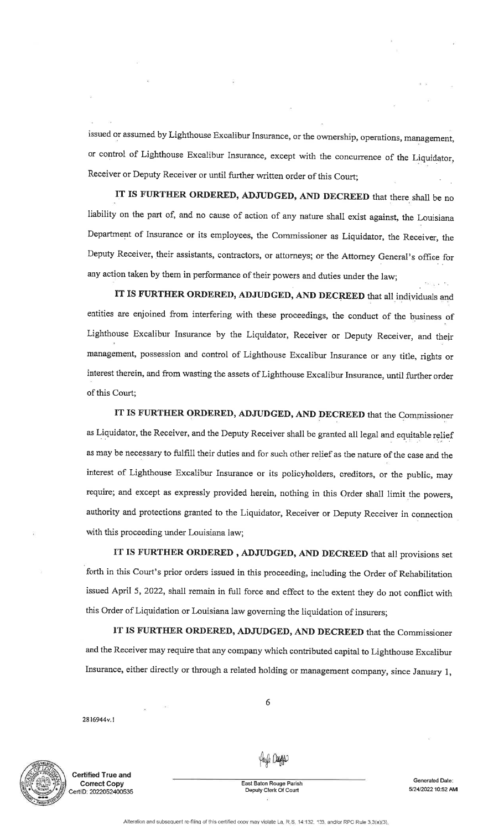issued or assumed by Lighthouse Excalibur Insurance, or the ownership, operations, management,or control of Lighthouse Excalibur Insurance, except with the concurrence of the Liquidator, Receiver or Deputy Receiver or until further written order of this Court;

IT IS FURTHER ORDERED, ADJUDGED, AND DECREED that there shall be no liability on the part of, and no cause of action of any nature shall exist against, the LouisianaDepartment of Insurance or its employees, the Commissioner as Liquidator, the Receiver, theDeputy Receiver, their assistants, contractors, or attorneys; or the Attorney General's office for any action taken by them in performance of their powers and duties under the law;

IT IS FURTHER ORDERED, ADJUDGED, AND DECREED that all individuats andentities are enjoined from interfering with these proceedings, the conduct of the business of Lighthouse Excalibur Insurance by the Liquidator, Receiver or Deputy Receiver, and theirmanagement, possession and control of Lighthouse Excalibur Insurance or any title, rights orinterest therein, and from wasting the assets of Lighthouse Excalibur Insurance, until further orderof this Court;

IT IS FURTHER ORDERED, ADJUDGED, AND DECREED that the Commissioneras Liquidator, the Receiver, and the Deputy Receiver shall be granted all legal and equitable reliefas may be necessary to fulfill their duties and for such other relief as the nature of the case and theinterest of Lighthouse Excalibur Insurance or its policyholders, creditors, or the public, mayrequire; and except as expressly provided herein, nothing in this Order shall limit the powers, authority and protections granted to the Liquidator, Receiver or Deputy Receiver in connectionwith this proceeding under Louisiana law;

IT IS FURTHER ORDERED, ADJUDGED, AND DECREED that all provisions set forth in this Court's prior orders issued in this proceeding, including the Order of Rehabilitationissued April 5, 2022, shall remain in full force and effect to the extent they do not conflict withthis Order of Liquidation or Louisiana law governing the liquidation of insurers;

IT IS FURTHER ORDERED, ADJUDGED, AND DECREED that the Commissioner and the Receiver may require that any company which contributed capital to Lighthouse ExcaliburInsutance, either directly or through a related holding or management company, since January 1,

2816944v.1



Certified True andCorrect CopyCertID: 2022052400535

aylı Deeps

6

 East Baton Rouge ParishDeputy Clerk Of Court